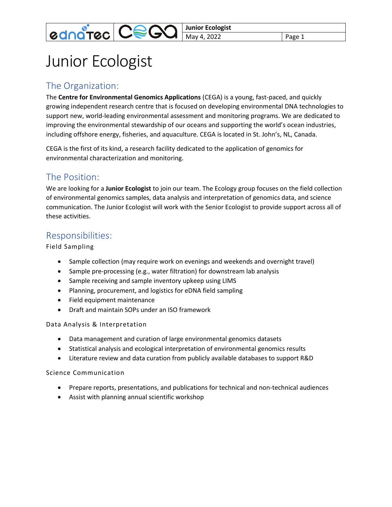**Junior Ecologist** May 4, 2022 **Page 1** 

# Junior Ecologist

**ednatec CeG** 

## The Organization:

The **Centre for Environmental Genomics Applications** (CEGA) is a young, fast-paced, and quickly growing independent research centre that is focused on developing environmental DNA technologies to support new, world-leading environmental assessment and monitoring programs. We are dedicated to improving the environmental stewardship of our oceans and supporting the world's ocean industries, including offshore energy, fisheries, and aquaculture. CEGA is located in St. John's, NL, Canada.

CEGA is the first of its kind, a research facility dedicated to the application of genomics for environmental characterization and monitoring.

# The Position:

We are looking for a **Junior Ecologist** to join our team. The Ecology group focuses on the field collection of environmental genomics samples, data analysis and interpretation of genomics data, and science communication. The Junior Ecologist will work with the Senior Ecologist to provide support across all of these activities.

### Responsibilities:

Field Sampling

- Sample collection (may require work on evenings and weekends and overnight travel)
- Sample pre-processing (e.g., water filtration) for downstream lab analysis
- Sample receiving and sample inventory upkeep using LIMS
- Planning, procurement, and logistics for eDNA field sampling
- Field equipment maintenance
- Draft and maintain SOPs under an ISO framework

#### Data Analysis & Interpretation

- Data management and curation of large environmental genomics datasets
- Statistical analysis and ecological interpretation of environmental genomics results
- Literature review and data curation from publicly available databases to support R&D

Science Communication

- Prepare reports, presentations, and publications for technical and non-technical audiences
- Assist with planning annual scientific workshop